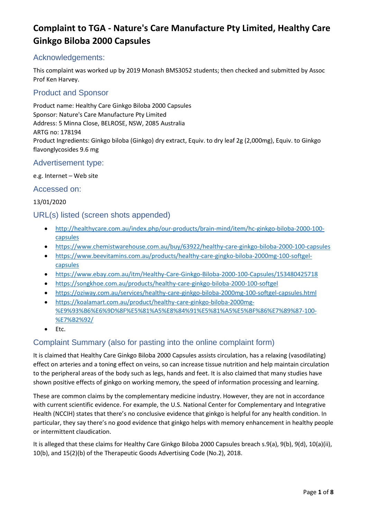### Acknowledgements:

This complaint was worked up by 2019 Monash BMS3052 students; then checked and submitted by Assoc Prof Ken Harvey.

### Product and Sponsor

Product name: Healthy Care Ginkgo Biloba 2000 Capsules Sponsor: Nature's Care Manufacture Pty Limited Address: 5 Minna Close, BELROSE, NSW, 2085 Australia ARTG no: 178194 Product Ingredients: Ginkgo biloba (Ginkgo) dry extract, Equiv. to dry leaf 2g (2,000mg), Equiv. to Ginkgo flavonglycosides 9.6 mg

### Advertisement type:

#### e.g. Internet – Web site

#### Accessed on:

#### 13/01/2020

### URL(s) listed (screen shots appended)

- [http://healthycare.com.au/index.php/our-products/brain-mind/item/hc-ginkgo-biloba-2000-100](http://healthycare.com.au/index.php/our-products/brain-mind/item/hc-ginkgo-biloba-2000-100-capsules?category_id=72) [capsules](http://healthycare.com.au/index.php/our-products/brain-mind/item/hc-ginkgo-biloba-2000-100-capsules?category_id=72)
- <https://www.chemistwarehouse.com.au/buy/63922/healthy-care-ginkgo-biloba-2000-100-capsules>
- [https://www.beevitamins.com.au/products/healthy-care-gingko-biloba-2000mg-100-softgel](https://www.beevitamins.com.au/products/healthy-care-gingko-biloba-2000mg-100-softgel-capsules)[capsules](https://www.beevitamins.com.au/products/healthy-care-gingko-biloba-2000mg-100-softgel-capsules)
- <https://www.ebay.com.au/itm/Healthy-Care-Ginkgo-Biloba-2000-100-Capsules/153480425718>
- <https://songkhoe.com.au/products/healthy-care-ginkgo-biloba-2000-100-softgel>
- <https://oziway.com.au/services/healthy-care-ginkgo-biloba-2000mg-100-softgel-capsules.html>
- [https://koalamart.com.au/product/healthy-care-ginkgo-biloba-2000mg-](https://koalamart.com.au/product/healthy-care-ginkgo-biloba-2000mg-%E9%93%B6%E6%9D%8F%E5%81%A5%E8%84%91%E5%81%A5%E5%BF%86%E7%89%87-100-%E7%B2%92/) [%E9%93%B6%E6%9D%8F%E5%81%A5%E8%84%91%E5%81%A5%E5%BF%86%E7%89%87-100-](https://koalamart.com.au/product/healthy-care-ginkgo-biloba-2000mg-%E9%93%B6%E6%9D%8F%E5%81%A5%E8%84%91%E5%81%A5%E5%BF%86%E7%89%87-100-%E7%B2%92/) [%E7%B2%92/](https://koalamart.com.au/product/healthy-care-ginkgo-biloba-2000mg-%E9%93%B6%E6%9D%8F%E5%81%A5%E8%84%91%E5%81%A5%E5%BF%86%E7%89%87-100-%E7%B2%92/)
- Etc.

### Complaint Summary (also for pasting into the online complaint form)

It is claimed that Healthy Care Ginkgo Biloba 2000 Capsules assists circulation, has a relaxing (vasodilating) effect on arteries and a toning effect on veins, so can increase tissue nutrition and help maintain circulation to the peripheral areas of the body such as legs, hands and feet. It is also claimed that many studies have shown positive effects of ginkgo on working memory, the speed of information processing and learning.

These are common claims by the complementary medicine industry. However, they are not in accordance with current scientific evidence. For example, the U.S. National Center for Complementary and Integrative Health (NCCIH) states that there's no conclusive evidence that ginkgo is helpful for any health condition. In particular, they say there's no good evidence that ginkgo helps with memory enhancement in healthy people or intermittent claudication.

It is alleged that these claims for Healthy Care Ginkgo Biloba 2000 Capsules breach s.9(a), 9(b), 9(d), 10(a)(ii), 10(b), and 15(2)(b) of the Therapeutic Goods Advertising Code (No.2), 2018.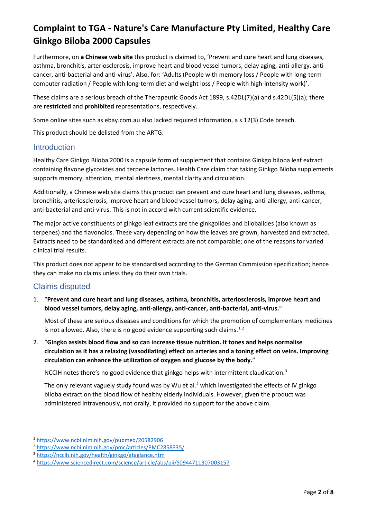Furthermore, on **a Chinese web site** this product is claimed to, 'Prevent and cure heart and lung diseases, asthma, bronchitis, arteriosclerosis, improve heart and blood vessel tumors, delay aging, anti-allergy, anticancer, anti-bacterial and anti-virus'. Also, for: 'Adults (People with memory loss / People with long-term computer radiation / People with long-term diet and weight loss / People with high-intensity work)'.

These claims are a serious breach of the Therapeutic Goods Act 1899, s.42DL(7)(a) and s.42DL(5)(a); there are **restricted** and **prohibited** representations, respectively.

Some online sites such as ebay.com.au also lacked required information, a s.12(3) Code breach.

This product should be delisted from the ARTG.

#### **Introduction**

Healthy Care Ginkgo Biloba 2000 is a capsule form of supplement that contains Ginkgo biloba leaf extract containing flavone glycosides and terpene lactones. Health Care claim that taking Ginkgo Biloba supplements supports memory, attention, mental alertness, mental clarity and circulation.

Additionally, a Chinese web site claims this product can prevent and cure heart and lung diseases, asthma, bronchitis, arteriosclerosis, improve heart and blood vessel tumors, delay aging, anti-allergy, anti-cancer, anti-bacterial and anti-virus. This is not in accord with current scientific evidence.

The major active constituents of ginkgo leaf extracts are the ginkgolides and bilobalides (also known as terpenes) and the flavonoids. These vary depending on how the leaves are grown, harvested and extracted. Extracts need to be standardised and different extracts are not comparable; one of the reasons for varied clinical trial results.

This product does not appear to be standardised according to the German Commission specification; hence they can make no claims unless they do their own trials.

### Claims disputed

1. "**Prevent and cure heart and lung diseases, asthma, bronchitis, arteriosclerosis, improve heart and blood vessel tumors, delay aging, anti-allergy, anti-cancer, anti-bacterial, anti-virus.**"

Most of these are serious diseases and conditions for which the promotion of complementary medicines is not allowed. Also, there is no good evidence supporting such claims. $1,2$  $1,2$  $1,2$ 

2. "**Gingko assists blood flow and so can increase tissue nutrition. It tones and helps normalise circulation as it has a relaxing (vasodilating) effect on arteries and a toning effect on veins. Improving circulation can enhance the utilization of oxygen and glucose by the body.**"

NCCIH notes there's no good evidence that ginkgo helps with intermittent claudication.<sup>3</sup>

The only relevant vaguely study found was by Wu et al.<sup>[4](#page-1-3)</sup> which investigated the effects of IV ginkgo biloba extract on the blood flow of healthy elderly individuals. However, given the product was administered intravenously, not orally, it provided no support for the above claim.

<span id="page-1-0"></span><sup>1</sup> <https://www.ncbi.nlm.nih.gov/pubmed/20582906>

<span id="page-1-1"></span><sup>2</sup> <https://www.ncbi.nlm.nih.gov/pmc/articles/PMC2858335/>

<span id="page-1-2"></span><sup>3</sup> <https://nccih.nih.gov/health/ginkgo/ataglance.htm>

<span id="page-1-3"></span><sup>4</sup> <https://www.sciencedirect.com/science/article/abs/pii/S0944711307003157>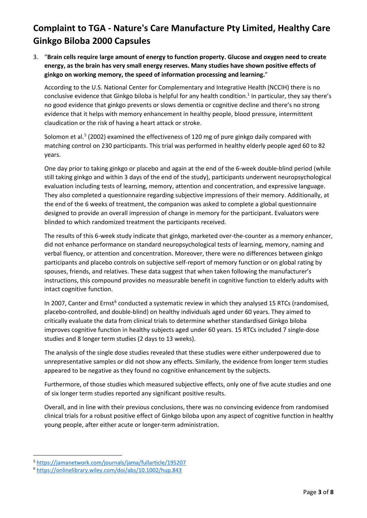3. "**Brain cells require large amount of energy to function property. Glucose and oxygen need to create energy, as the brain has very small energy reserves. Many studies have shown positive effects of ginkgo on working memory, the speed of information processing and learning.**"

According to the U.S. National Center for Complementary and Integrative Health (NCCIH) there is no conclusive evidence that Ginkgo biloba is helpful for any health condition. <sup>1</sup> In particular, they say there's no good evidence that ginkgo prevents or slows dementia or cognitive decline and there's no strong evidence that it helps with memory enhancement in healthy people, blood pressure, intermittent claudication or the risk of having a heart attack or stroke.

Solomon et al.<sup>[5](#page-2-0)</sup> (2002) examined the effectiveness of 120 mg of pure ginkgo daily compared with matching control on 230 participants. This trial was performed in healthy elderly people aged 60 to 82 years.

One day prior to taking ginkgo or placebo and again at the end of the 6-week double-blind period (while still taking ginkgo and within 3 days of the end of the study), participants underwent neuropsychological evaluation including tests of learning, memory, attention and concentration, and expressive language. They also completed a questionnaire regarding subjective impressions of their memory. Additionally, at the end of the 6 weeks of treatment, the companion was asked to complete a global questionnaire designed to provide an overall impression of change in memory for the participant. Evaluators were blinded to which randomized treatment the participants received.

The results of this 6-week study indicate that ginkgo, marketed over-the-counter as a memory enhancer, did not enhance performance on standard neuropsychological tests of learning, memory, naming and verbal fluency, or attention and concentration. Moreover, there were no differences between ginkgo participants and placebo controls on subjective self-report of memory function or on global rating by spouses, friends, and relatives. These data suggest that when taken following the manufacturer's instructions, this compound provides no measurable benefit in cognitive function to elderly adults with intact cognitive function.

In 2007, Canter and Ernst<sup>[6](#page-2-1)</sup> conducted a systematic review in which they analysed 15 RTCs (randomised, placebo-controlled, and double-blind) on healthy individuals aged under 60 years. They aimed to critically evaluate the data from clinical trials to determine whether standardised Ginkgo biloba improves cognitive function in healthy subjects aged under 60 years. 15 RTCs included 7 single-dose studies and 8 longer term studies (2 days to 13 weeks).

The analysis of the single dose studies revealed that these studies were either underpowered due to unrepresentative samples or did not show any effects. Similarly, the evidence from longer term studies appeared to be negative as they found no cognitive enhancement by the subjects.

Furthermore, of those studies which measured subjective effects, only one of five acute studies and one of six longer term studies reported any significant positive results.

Overall, and in line with their previous conclusions, there was no convincing evidence from randomised clinical trials for a robust positive effect of Ginkgo biloba upon any aspect of cognitive function in healthy young people, after either acute or longer-term administration.

<span id="page-2-0"></span><sup>5</sup> <https://jamanetwork.com/journals/jama/fullarticle/195207>

<span id="page-2-1"></span><sup>6</sup> <https://onlinelibrary.wiley.com/doi/abs/10.1002/hup.843>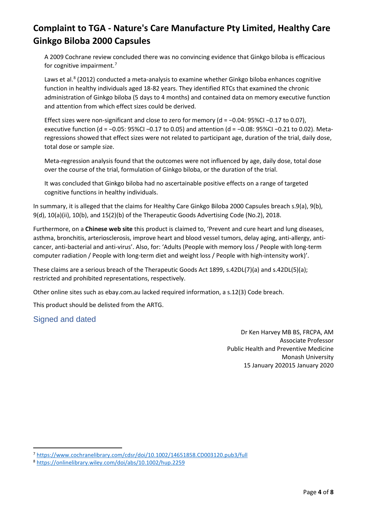A 2009 Cochrane review concluded there was no convincing evidence that Ginkgo biloba is efficacious for cognitive impairment.<sup>[7](#page-3-0)</sup>

Laws et al.<sup>[8](#page-3-1)</sup> (2012) conducted a meta-analysis to examine whether Ginkgo biloba enhances cognitive function in healthy individuals aged 18-82 years. They identified RTCs that examined the chronic administration of Ginkgo biloba (5 days to 4 months) and contained data on memory executive function and attention from which effect sizes could be derived.

Effect sizes were non-significant and close to zero for memory (d = −0.04: 95%CI −0.17 to 0.07), executive function (d = −0.05: 95%CI −0.17 to 0.05) and attention (d = −0.08: 95%CI −0.21 to 0.02). Metaregressions showed that effect sizes were not related to participant age, duration of the trial, daily dose, total dose or sample size.

Meta-regression analysis found that the outcomes were not influenced by age, daily dose, total dose over the course of the trial, formulation of Ginkgo biloba, or the duration of the trial.

It was concluded that Ginkgo biloba had no ascertainable positive effects on a range of targeted cognitive functions in healthy individuals.

In summary, it is alleged that the claims for Healthy Care Ginkgo Biloba 2000 Capsules breach s.9(a), 9(b), 9(d), 10(a)(ii), 10(b), and 15(2)(b) of the Therapeutic Goods Advertising Code (No.2), 2018.

Furthermore, on a **Chinese web site** this product is claimed to, 'Prevent and cure heart and lung diseases, asthma, bronchitis, arteriosclerosis, improve heart and blood vessel tumors, delay aging, anti-allergy, anticancer, anti-bacterial and anti-virus'. Also, for: 'Adults (People with memory loss / People with long-term computer radiation / People with long-term diet and weight loss / People with high-intensity work)'.

These claims are a serious breach of the Therapeutic Goods Act 1899, s.42DL(7)(a) and s.42DL(5)(a); restricted and prohibited representations, respectively.

Other online sites such as ebay.com.au lacked required information, a s.12(3) Code breach.

This product should be delisted from the ARTG.

### Signed and dated

Dr Ken Harvey MB BS, FRCPA, AM Associate Professor Public Health and Preventive Medicine Monash University 15 January 202015 January 2020

<span id="page-3-0"></span><sup>7</sup> <https://www.cochranelibrary.com/cdsr/doi/10.1002/14651858.CD003120.pub3/full>

<span id="page-3-1"></span><sup>8</sup> <https://onlinelibrary.wiley.com/doi/abs/10.1002/hup.2259>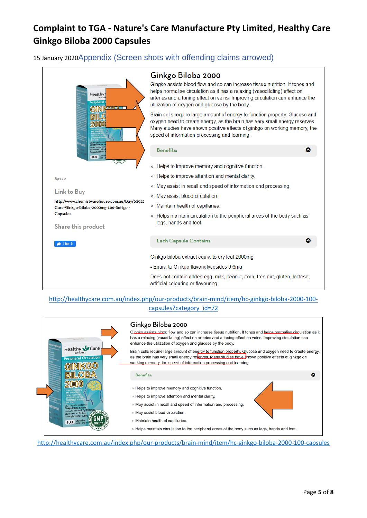15 January 2020Appendix (Screen shots with offending claims arrowed)

| Healthy<br>Peripheral<br>G<br>Sinkep biloba ex<br>squiv, to dry leaf<br><b>Equivalent</b> to Gir<br>flavoriglycoside<br>100 Capsu              | Ginkgo Biloba 2000<br>Gingko assists blood flow and so can increase tissue nutrition. It tones and<br>helps normalise circulation as it has a relaxing (vasodilating) effect on<br>arteries and a toning effect on veins. Improving circulation can enhance the<br>utilization of oxygen and glucose by the body.<br>Brain cells require large amount of energy to function property. Glucose and<br>oxygen need to create energy, as the brain has very small energy reserves.<br>Many studies have shown positive effects of ginkgo on working memory, the<br>speed of information processing and learning. |
|------------------------------------------------------------------------------------------------------------------------------------------------|---------------------------------------------------------------------------------------------------------------------------------------------------------------------------------------------------------------------------------------------------------------------------------------------------------------------------------------------------------------------------------------------------------------------------------------------------------------------------------------------------------------------------------------------------------------------------------------------------------------|
|                                                                                                                                                | Benefits:<br>ది                                                                                                                                                                                                                                                                                                                                                                                                                                                                                                                                                                                               |
|                                                                                                                                                | ○ Helps to improve memory and cognitive function.                                                                                                                                                                                                                                                                                                                                                                                                                                                                                                                                                             |
| 89242                                                                                                                                          | ○ Helps to improve attention and mental clarity.                                                                                                                                                                                                                                                                                                                                                                                                                                                                                                                                                              |
| Link to Buy<br>http://www.chemistwarehouse.com.au/Buy/63922<br>Care-Ginkgo-Biloba-2000mg-100-Softgel-<br><b>Capsules</b><br>Share this product | May assist in recall and speed of information and processing.<br>$\circ$                                                                                                                                                                                                                                                                                                                                                                                                                                                                                                                                      |
|                                                                                                                                                | ○ May assist blood circulation.                                                                                                                                                                                                                                                                                                                                                                                                                                                                                                                                                                               |
|                                                                                                                                                | • Maintain health of capillaries.                                                                                                                                                                                                                                                                                                                                                                                                                                                                                                                                                                             |
|                                                                                                                                                | ○ Helps maintain circulation to the peripheral areas of the body such as<br>legs, hands and feet.                                                                                                                                                                                                                                                                                                                                                                                                                                                                                                             |
| $\frac{1}{2}$ Like 0                                                                                                                           | <b>Each Capsule Contains:</b>                                                                                                                                                                                                                                                                                                                                                                                                                                                                                                                                                                                 |
|                                                                                                                                                | Ginkgo biloba extract equiv. to dry leaf 2000mg                                                                                                                                                                                                                                                                                                                                                                                                                                                                                                                                                               |
|                                                                                                                                                | - Equiv. to Ginkgo flavonglycosides 9.6mg                                                                                                                                                                                                                                                                                                                                                                                                                                                                                                                                                                     |
|                                                                                                                                                | Does not contain added egg, milk, peanut, corn, tree nut, gluten, lactose,<br>artificial colouring or flavouring.                                                                                                                                                                                                                                                                                                                                                                                                                                                                                             |

#### [http://healthycare.com.au/index.php/our-products/brain-mind/item/hc-ginkgo-biloba-2000-100](http://healthycare.com.au/index.php/our-products/brain-mind/item/hc-ginkgo-biloba-2000-100-capsules?category_id=72) [capsules?category\\_id=72](http://healthycare.com.au/index.php/our-products/brain-mind/item/hc-ginkgo-biloba-2000-100-capsules?category_id=72)



[http://healthycare.com.au/index.php/our-products/brain-mind/item/hc-ginkgo-biloba-2000-100-capsules](http://healthycare.com.au/index.php/our-products/brain-mind/item/hc-ginkgo-biloba-2000-100-capsules?category_id=72)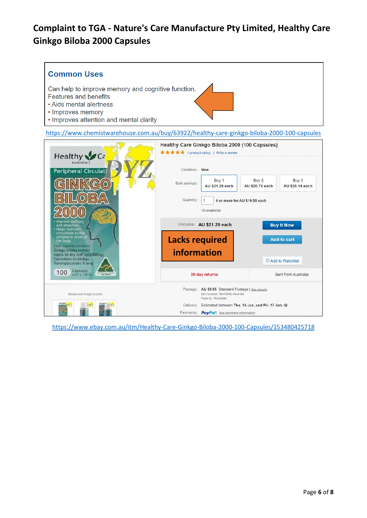

<https://www.chemistwarehouse.com.au/buy/63922/healthy-care-ginkgo-biloba-2000-100-capsules>



<https://www.ebay.com.au/itm/Healthy-Care-Ginkgo-Biloba-2000-100-Capsules/153480425718>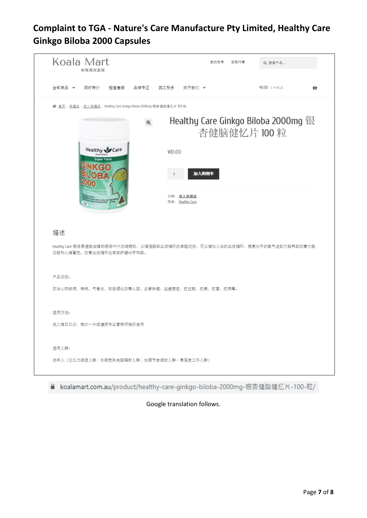

koalamart.com.au/product/healthy-care-ginkgo-biloba-2000mg-银杏健脑健忆片-100-粒/ €

#### Google translation follows.